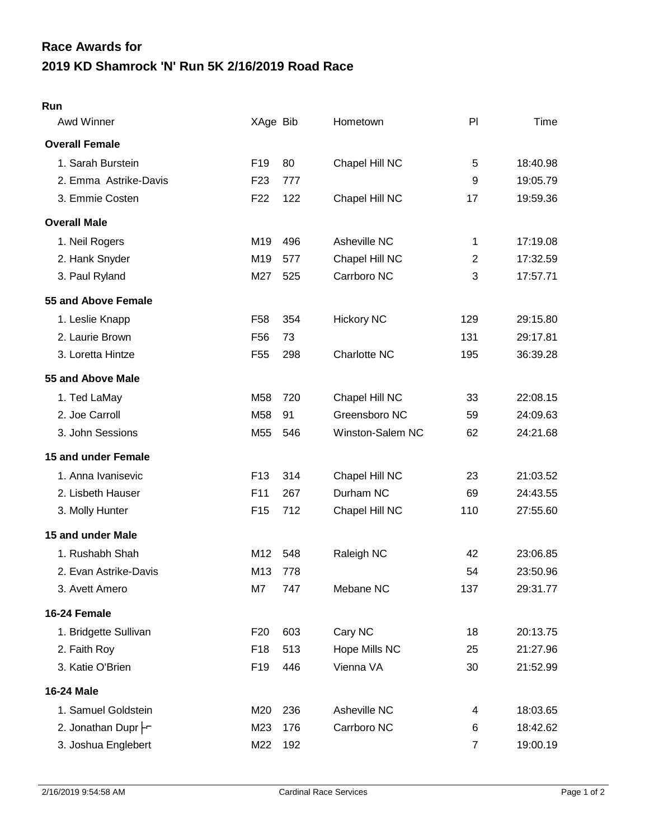## **2019 KD Shamrock 'N' Run 5K 2/16/2019 Road Race Race Awards for**

## **Run**

| Awd Winner            | XAge Bib        |     | Hometown          | PI             | Time     |
|-----------------------|-----------------|-----|-------------------|----------------|----------|
| <b>Overall Female</b> |                 |     |                   |                |          |
| 1. Sarah Burstein     | F <sub>19</sub> | 80  | Chapel Hill NC    | 5              | 18:40.98 |
| 2. Emma Astrike-Davis | F <sub>23</sub> | 777 |                   | 9              | 19:05.79 |
| 3. Emmie Costen       | F <sub>22</sub> | 122 | Chapel Hill NC    | 17             | 19:59.36 |
| <b>Overall Male</b>   |                 |     |                   |                |          |
| 1. Neil Rogers        | M19             | 496 | Asheville NC      | 1              | 17:19.08 |
| 2. Hank Snyder        | M19             | 577 | Chapel Hill NC    | $\overline{2}$ | 17:32.59 |
| 3. Paul Ryland        | M27             | 525 | Carrboro NC       | 3              | 17:57.71 |
| 55 and Above Female   |                 |     |                   |                |          |
| 1. Leslie Knapp       | F <sub>58</sub> | 354 | <b>Hickory NC</b> | 129            | 29:15.80 |
| 2. Laurie Brown       | F <sub>56</sub> | 73  |                   | 131            | 29:17.81 |
| 3. Loretta Hintze     | F <sub>55</sub> | 298 | Charlotte NC      | 195            | 36:39.28 |
| 55 and Above Male     |                 |     |                   |                |          |
| 1. Ted LaMay          | M58             | 720 | Chapel Hill NC    | 33             | 22:08.15 |
| 2. Joe Carroll        | M58             | 91  | Greensboro NC     | 59             | 24:09.63 |
| 3. John Sessions      | M55             | 546 | Winston-Salem NC  | 62             | 24:21.68 |
| 15 and under Female   |                 |     |                   |                |          |
| 1. Anna Ivanisevic    | F <sub>13</sub> | 314 | Chapel Hill NC    | 23             | 21:03.52 |
| 2. Lisbeth Hauser     | F11             | 267 | Durham NC         | 69             | 24:43.55 |
| 3. Molly Hunter       | F <sub>15</sub> | 712 | Chapel Hill NC    | 110            | 27:55.60 |
| 15 and under Male     |                 |     |                   |                |          |
| 1. Rushabh Shah       | M12             | 548 | Raleigh NC        | 42             | 23:06.85 |
| 2. Evan Astrike-Davis | M13             | 778 |                   | 54             | 23:50.96 |
| 3. Avett Amero        | M7              | 747 | Mebane NC         | 137            | 29:31.77 |
| 16-24 Female          |                 |     |                   |                |          |
| 1. Bridgette Sullivan | F <sub>20</sub> | 603 | Cary NC           | 18             | 20:13.75 |
| 2. Faith Roy          | F <sub>18</sub> | 513 | Hope Mills NC     | 25             | 21:27.96 |
| 3. Katie O'Brien      | F <sub>19</sub> | 446 | Vienna VA         | 30             | 21:52.99 |
| 16-24 Male            |                 |     |                   |                |          |
| 1. Samuel Goldstein   | M20             | 236 | Asheville NC      | 4              | 18:03.65 |
| 2. Jonathan Dupr -    | M23             | 176 | Carrboro NC       | 6              | 18:42.62 |
| 3. Joshua Englebert   | M22             | 192 |                   | $\overline{7}$ | 19:00.19 |